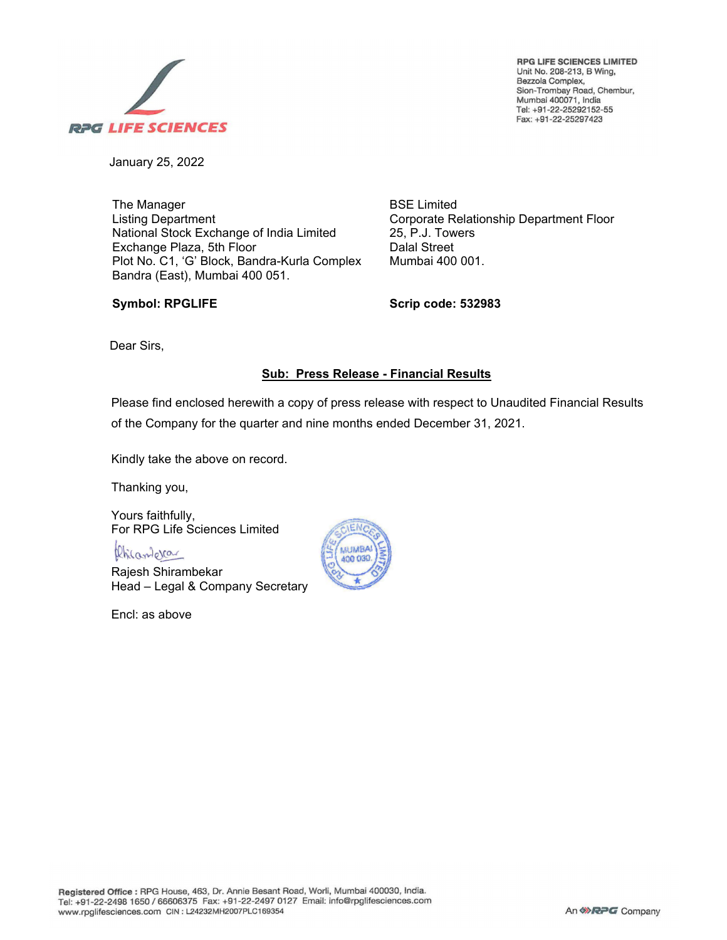

**RPG LIFE SCIENCES LIMITED**  Unit No. 208-213, B Wing, Bezzola Complex, Sion-Trombay Road, Chembur, Mumbai 400071, India Tel: +91-22-25292152-55 Fax: +91 -22-25297 423

January 25, 2022

The Manager Listing Department National Stock Exchange of India Limited Exchange Plaza, 5th Floor Plot No. C1, 'G' Block, Bandra-Kurla Complex Bandra (East), Mumbai 400 051.

Corporate Relationship Department Floor 25, P.J. Towers Dalal Street Mumbai 400 001.

### **Symbol: RPGLIFE**

**Scrip code: 532983**

BSE Limited

Dear Sirs,

## **Sub: Press Release - Financial Results**

Please find enclosed herewith a copy of press release with respect to Unaudited Financial Results of the Company for the quarter and nine months ended December 31, 2021.

Kindly take the above on record.

Thanking you,

Yours faithfully, For RPG Life Sciences Limited

Phisamera

Rajesh Shirambekar Head – Legal & Company Secretary

Encl: as above